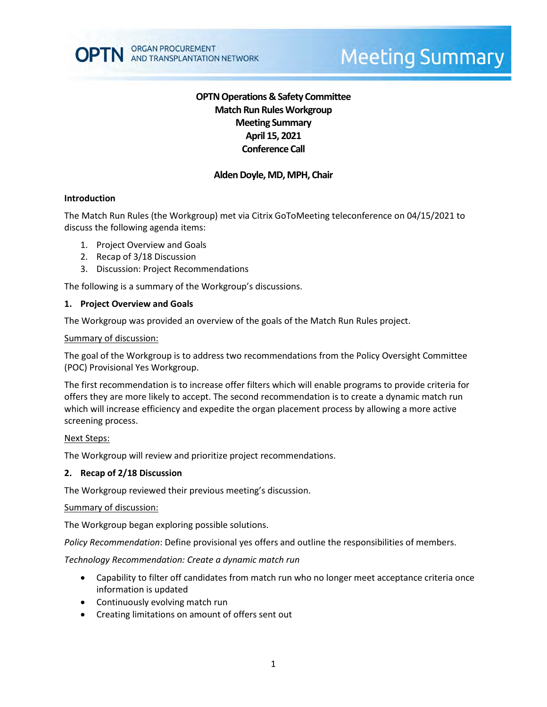# **Meeting Summary**

# **OPTN Operations & Safety Committee Match Run RulesWorkgroup Meeting Summary April 15, 2021 Conference Call**

# **Alden Doyle, MD, MPH, Chair**

# **Introduction**

The Match Run Rules (the Workgroup) met via Citrix GoToMeeting teleconference on 04/15/2021 to discuss the following agenda items:

- 1. Project Overview and Goals
- 2. Recap of 3/18 Discussion
- 3. Discussion: Project Recommendations

The following is a summary of the Workgroup's discussions.

# **1. Project Overview and Goals**

The Workgroup was provided an overview of the goals of the Match Run Rules project.

#### Summary of discussion:

The goal of the Workgroup is to address two recommendations from the Policy Oversight Committee (POC) Provisional Yes Workgroup.

The first recommendation is to increase offer filters which will enable programs to provide criteria for offers they are more likely to accept. The second recommendation is to create a dynamic match run which will increase efficiency and expedite the organ placement process by allowing a more active screening process.

# Next Steps:

The Workgroup will review and prioritize project recommendations.

# **2. Recap of 2/18 Discussion**

The Workgroup reviewed their previous meeting's discussion.

#### Summary of discussion:

The Workgroup began exploring possible solutions.

*Policy Recommendation*: Define provisional yes offers and outline the responsibilities of members.

*Technology Recommendation: Create a dynamic match run*

- Capability to filter off candidates from match run who no longer meet acceptance criteria once information is updated
- Continuously evolving match run
- Creating limitations on amount of offers sent out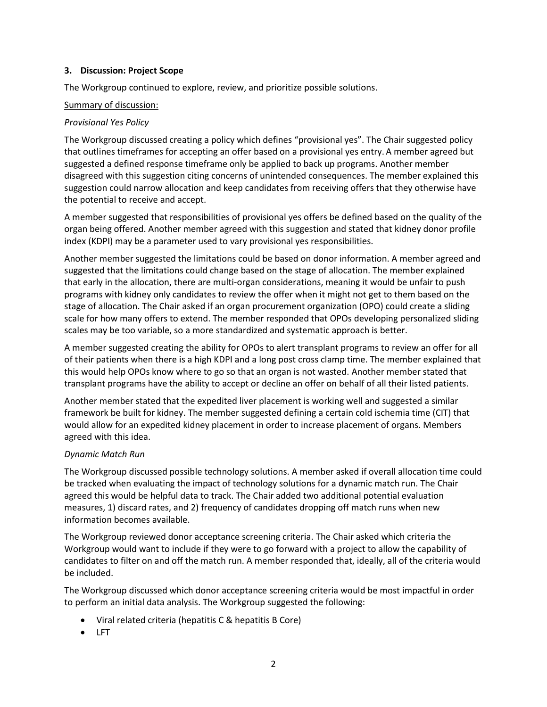#### **3. Discussion: Project Scope**

The Workgroup continued to explore, review, and prioritize possible solutions.

#### Summary of discussion:

# *Provisional Yes Policy*

The Workgroup discussed creating a policy which defines "provisional yes". The Chair suggested policy that outlines timeframes for accepting an offer based on a provisional yes entry. A member agreed but suggested a defined response timeframe only be applied to back up programs. Another member disagreed with this suggestion citing concerns of unintended consequences. The member explained this suggestion could narrow allocation and keep candidates from receiving offers that they otherwise have the potential to receive and accept.

A member suggested that responsibilities of provisional yes offers be defined based on the quality of the organ being offered. Another member agreed with this suggestion and stated that kidney donor profile index (KDPI) may be a parameter used to vary provisional yes responsibilities.

Another member suggested the limitations could be based on donor information. A member agreed and suggested that the limitations could change based on the stage of allocation. The member explained that early in the allocation, there are multi-organ considerations, meaning it would be unfair to push programs with kidney only candidates to review the offer when it might not get to them based on the stage of allocation. The Chair asked if an organ procurement organization (OPO) could create a sliding scale for how many offers to extend. The member responded that OPOs developing personalized sliding scales may be too variable, so a more standardized and systematic approach is better.

A member suggested creating the ability for OPOs to alert transplant programs to review an offer for all of their patients when there is a high KDPI and a long post cross clamp time. The member explained that this would help OPOs know where to go so that an organ is not wasted. Another member stated that transplant programs have the ability to accept or decline an offer on behalf of all their listed patients.

Another member stated that the expedited liver placement is working well and suggested a similar framework be built for kidney. The member suggested defining a certain cold ischemia time (CIT) that would allow for an expedited kidney placement in order to increase placement of organs. Members agreed with this idea.

# *Dynamic Match Run*

The Workgroup discussed possible technology solutions. A member asked if overall allocation time could be tracked when evaluating the impact of technology solutions for a dynamic match run. The Chair agreed this would be helpful data to track. The Chair added two additional potential evaluation measures, 1) discard rates, and 2) frequency of candidates dropping off match runs when new information becomes available.

The Workgroup reviewed donor acceptance screening criteria. The Chair asked which criteria the Workgroup would want to include if they were to go forward with a project to allow the capability of candidates to filter on and off the match run. A member responded that, ideally, all of the criteria would be included.

The Workgroup discussed which donor acceptance screening criteria would be most impactful in order to perform an initial data analysis. The Workgroup suggested the following:

- Viral related criteria (hepatitis C & hepatitis B Core)
- LFT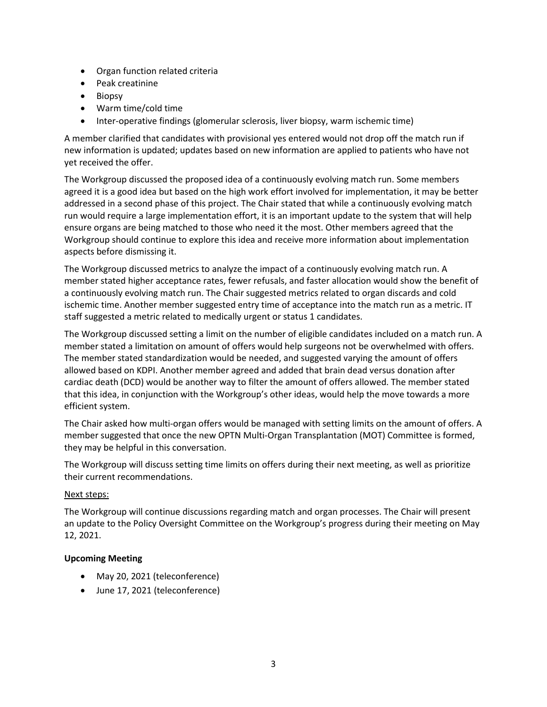- Organ function related criteria
- Peak creatinine
- Biopsy
- Warm time/cold time
- Inter-operative findings (glomerular sclerosis, liver biopsy, warm ischemic time)

A member clarified that candidates with provisional yes entered would not drop off the match run if new information is updated; updates based on new information are applied to patients who have not yet received the offer.

The Workgroup discussed the proposed idea of a continuously evolving match run. Some members agreed it is a good idea but based on the high work effort involved for implementation, it may be better addressed in a second phase of this project. The Chair stated that while a continuously evolving match run would require a large implementation effort, it is an important update to the system that will help ensure organs are being matched to those who need it the most. Other members agreed that the Workgroup should continue to explore this idea and receive more information about implementation aspects before dismissing it.

The Workgroup discussed metrics to analyze the impact of a continuously evolving match run. A member stated higher acceptance rates, fewer refusals, and faster allocation would show the benefit of a continuously evolving match run. The Chair suggested metrics related to organ discards and cold ischemic time. Another member suggested entry time of acceptance into the match run as a metric. IT staff suggested a metric related to medically urgent or status 1 candidates.

The Workgroup discussed setting a limit on the number of eligible candidates included on a match run. A member stated a limitation on amount of offers would help surgeons not be overwhelmed with offers. The member stated standardization would be needed, and suggested varying the amount of offers allowed based on KDPI. Another member agreed and added that brain dead versus donation after cardiac death (DCD) would be another way to filter the amount of offers allowed. The member stated that this idea, in conjunction with the Workgroup's other ideas, would help the move towards a more efficient system.

The Chair asked how multi-organ offers would be managed with setting limits on the amount of offers. A member suggested that once the new OPTN Multi-Organ Transplantation (MOT) Committee is formed, they may be helpful in this conversation.

The Workgroup will discuss setting time limits on offers during their next meeting, as well as prioritize their current recommendations.

# Next steps:

The Workgroup will continue discussions regarding match and organ processes. The Chair will present an update to the Policy Oversight Committee on the Workgroup's progress during their meeting on May 12, 2021.

# **Upcoming Meeting**

- May 20, 2021 (teleconference)
- June 17, 2021 (teleconference)